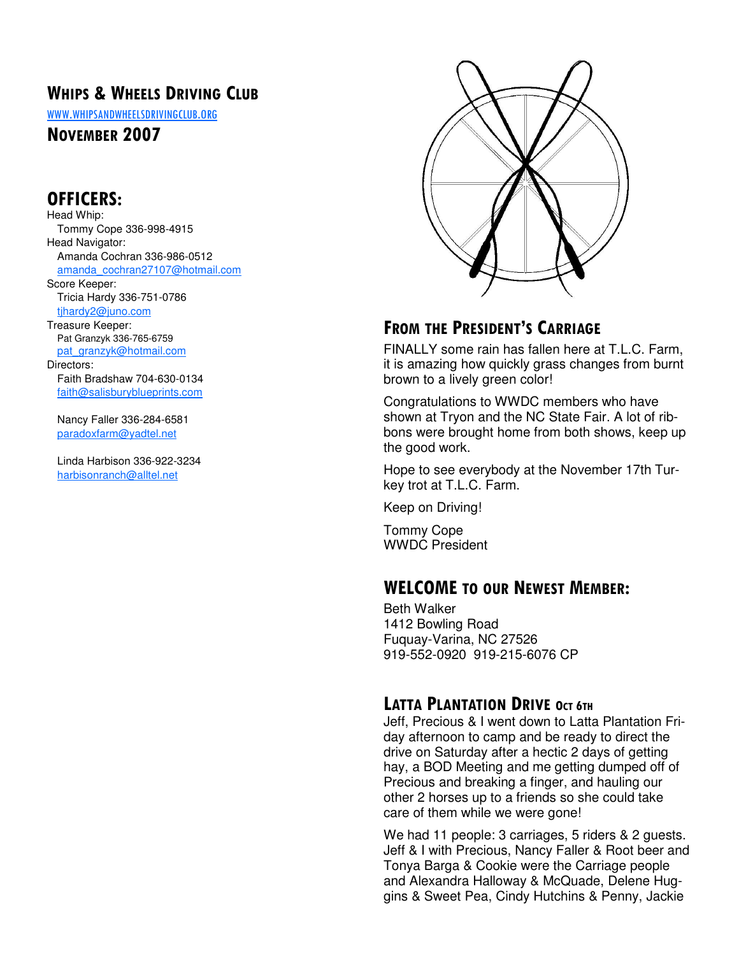# WHIPS & WHEELS DRIVING CLUB

WWW.WHIPSANDWHEELSDRIVINGCLUB.ORG

#### NOVEMBER 2007

### OFFICERS:

Head Whip: Tommy Cope 336-998-4915 Head Navigator: Amanda Cochran 336-986-0512 amanda\_cochran27107@hotmail.com Score Keeper: Tricia Hardy 336-751-0786 tjhardy2@juno.com Treasure Keeper: Pat Granzyk 336-765-6759 pat\_granzyk@hotmail.com Directors: Faith Bradshaw 704-630-0134 faith@salisburyblueprints.com

 Nancy Faller 336-284-6581 paradoxfarm@yadtel.net

 Linda Harbison 336-922-3234 harbisonranch@alltel.net



# FROM THE PRESIDENT'S CARRIAGE

FINALLY some rain has fallen here at T.L.C. Farm, it is amazing how quickly grass changes from burnt brown to a lively green color!

Congratulations to WWDC members who have shown at Tryon and the NC State Fair. A lot of ribbons were brought home from both shows, keep up the good work.

Hope to see everybody at the November 17th Turkey trot at T.L.C. Farm.

Keep on Driving!

Tommy Cope WWDC President

### WELCOME TO OUR NEWEST MEMBER:

Beth Walker 1412 Bowling Road Fuquay-Varina, NC 27526 919-552-0920 919-215-6076 CP

### LATTA PLANTATION DRIVE OCT 6TH

Jeff, Precious & I went down to Latta Plantation Friday afternoon to camp and be ready to direct the drive on Saturday after a hectic 2 days of getting hay, a BOD Meeting and me getting dumped off of Precious and breaking a finger, and hauling our other 2 horses up to a friends so she could take care of them while we were gone!

We had 11 people: 3 carriages, 5 riders & 2 guests. Jeff & I with Precious, Nancy Faller & Root beer and Tonya Barga & Cookie were the Carriage people and Alexandra Halloway & McQuade, Delene Huggins & Sweet Pea, Cindy Hutchins & Penny, Jackie